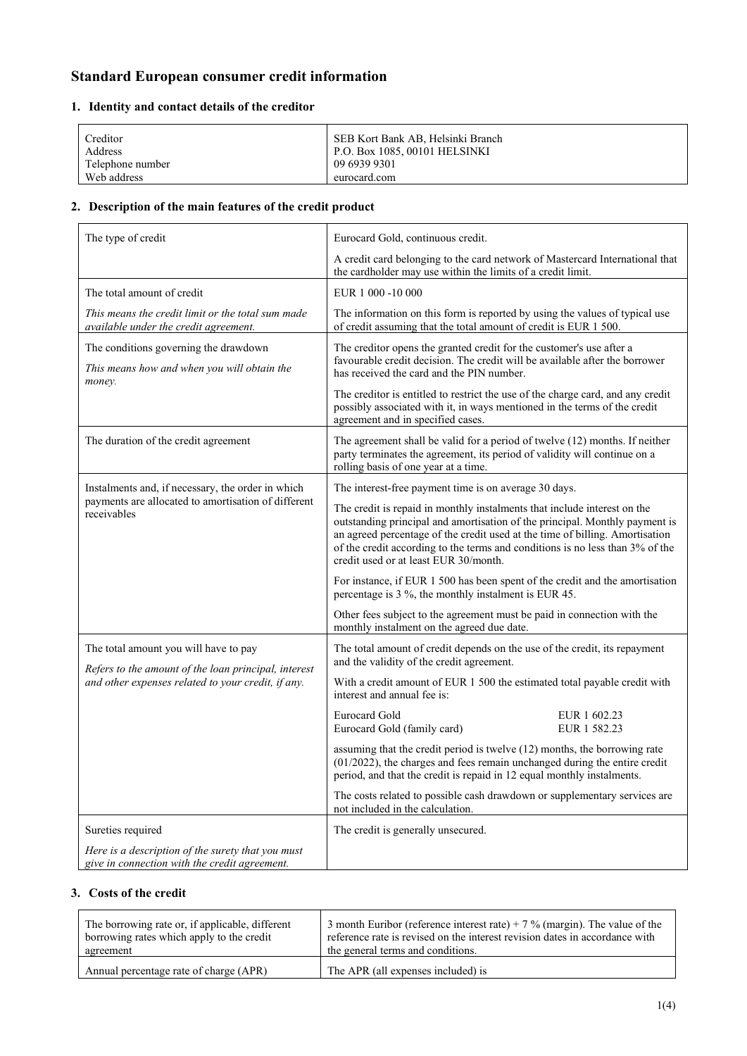# **Standard European consumer credit information**

### **1. Identity and contact details of the creditor**

| Creditor<br>Address             | SEB Kort Bank AB, Helsinki Branch<br>  P.O. Box 1085, 00101 HELSINKI |
|---------------------------------|----------------------------------------------------------------------|
| Telephone number<br>Web address | 09 6939 9301<br>eurocard.com                                         |
|                                 |                                                                      |

# **2. Description of the main features of the credit product**

| The type of credit                                                                                                                                  | Eurocard Gold, continuous credit.                                                                                                                                                                                                                                                                                                                                 |
|-----------------------------------------------------------------------------------------------------------------------------------------------------|-------------------------------------------------------------------------------------------------------------------------------------------------------------------------------------------------------------------------------------------------------------------------------------------------------------------------------------------------------------------|
|                                                                                                                                                     | A credit card belonging to the card network of Mastercard International that<br>the cardholder may use within the limits of a credit limit.                                                                                                                                                                                                                       |
| The total amount of credit                                                                                                                          | EUR 1 000 -10 000                                                                                                                                                                                                                                                                                                                                                 |
| This means the credit limit or the total sum made<br>available under the credit agreement.                                                          | The information on this form is reported by using the values of typical use<br>of credit assuming that the total amount of credit is EUR 1 500.                                                                                                                                                                                                                   |
| The conditions governing the drawdown<br>This means how and when you will obtain the<br>money.                                                      | The creditor opens the granted credit for the customer's use after a<br>favourable credit decision. The credit will be available after the borrower<br>has received the card and the PIN number.                                                                                                                                                                  |
|                                                                                                                                                     | The creditor is entitled to restrict the use of the charge card, and any credit<br>possibly associated with it, in ways mentioned in the terms of the credit<br>agreement and in specified cases.                                                                                                                                                                 |
| The duration of the credit agreement                                                                                                                | The agreement shall be valid for a period of twelve (12) months. If neither<br>party terminates the agreement, its period of validity will continue on a<br>rolling basis of one year at a time.                                                                                                                                                                  |
| Instalments and, if necessary, the order in which                                                                                                   | The interest-free payment time is on average 30 days.                                                                                                                                                                                                                                                                                                             |
| payments are allocated to amortisation of different<br>receivables                                                                                  | The credit is repaid in monthly instalments that include interest on the<br>outstanding principal and amortisation of the principal. Monthly payment is<br>an agreed percentage of the credit used at the time of billing. Amortisation<br>of the credit according to the terms and conditions is no less than 3% of the<br>credit used or at least EUR 30/month. |
|                                                                                                                                                     | For instance, if EUR 1 500 has been spent of the credit and the amortisation<br>percentage is 3 %, the monthly instalment is EUR 45.                                                                                                                                                                                                                              |
|                                                                                                                                                     | Other fees subject to the agreement must be paid in connection with the<br>monthly instalment on the agreed due date.                                                                                                                                                                                                                                             |
| The total amount you will have to pay<br>Refers to the amount of the loan principal, interest<br>and other expenses related to your credit, if any. | The total amount of credit depends on the use of the credit, its repayment<br>and the validity of the credit agreement.                                                                                                                                                                                                                                           |
|                                                                                                                                                     | With a credit amount of EUR 1 500 the estimated total payable credit with<br>interest and annual fee is:                                                                                                                                                                                                                                                          |
|                                                                                                                                                     | EUR 1 602.23<br>Eurocard Gold<br>Eurocard Gold (family card)<br>EUR 1 582.23                                                                                                                                                                                                                                                                                      |
|                                                                                                                                                     | assuming that the credit period is twelve (12) months, the borrowing rate<br>$(01/2022)$ , the charges and fees remain unchanged during the entire credit<br>period, and that the credit is repaid in 12 equal monthly instalments.                                                                                                                               |
|                                                                                                                                                     | The costs related to possible cash drawdown or supplementary services are<br>not included in the calculation.                                                                                                                                                                                                                                                     |
| Sureties required                                                                                                                                   | The credit is generally unsecured.                                                                                                                                                                                                                                                                                                                                |
| Here is a description of the surety that you must<br>give in connection with the credit agreement.                                                  |                                                                                                                                                                                                                                                                                                                                                                   |

#### **3. Costs of the credit**

| The borrowing rate or, if applicable, different | 3 month Euribor (reference interest rate) + 7 % (margin). The value of the  |
|-------------------------------------------------|-----------------------------------------------------------------------------|
| borrowing rates which apply to the credit       | reference rate is revised on the interest revision dates in accordance with |
| agreement                                       | the general terms and conditions.                                           |
| Annual percentage rate of charge (APR)          | The APR (all expenses included) is                                          |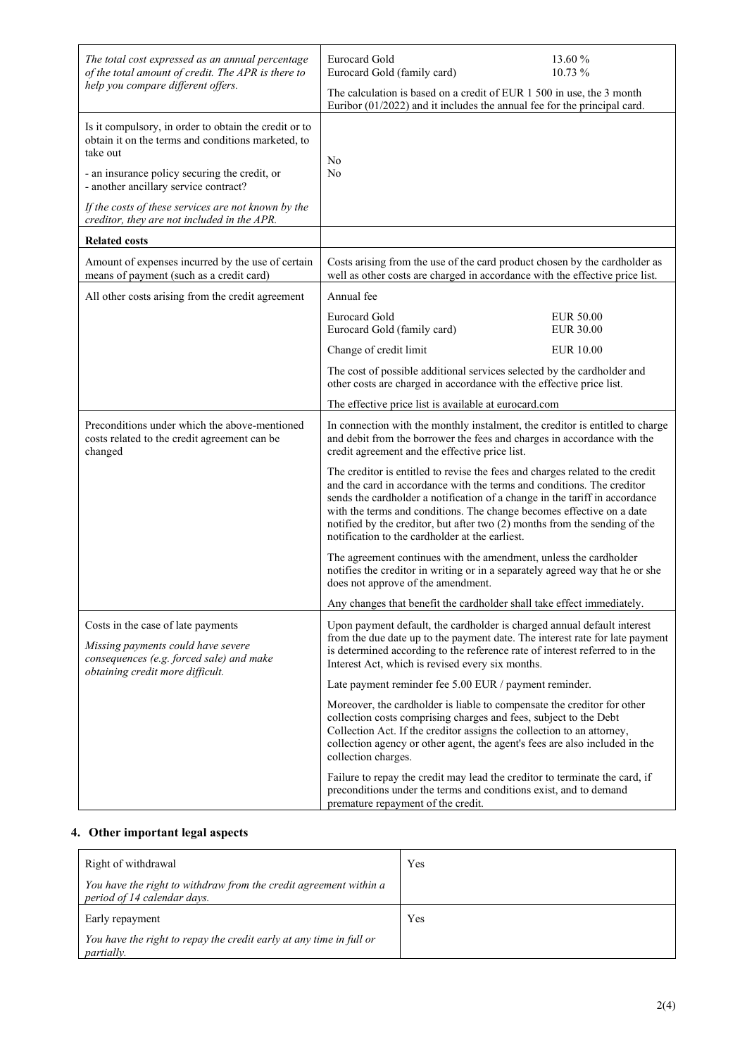| The total cost expressed as an annual percentage<br>of the total amount of credit. The APR is there to<br>help you compare different offers.                             | 13.60 %<br><b>Eurocard Gold</b><br>10.73 %<br>Eurocard Gold (family card)                                                                                                                                                                                                                                                                                                                                                                        |
|--------------------------------------------------------------------------------------------------------------------------------------------------------------------------|--------------------------------------------------------------------------------------------------------------------------------------------------------------------------------------------------------------------------------------------------------------------------------------------------------------------------------------------------------------------------------------------------------------------------------------------------|
|                                                                                                                                                                          | The calculation is based on a credit of EUR 1 500 in use, the 3 month<br>Euribor $(01/2022)$ and it includes the annual fee for the principal card.                                                                                                                                                                                                                                                                                              |
| Is it compulsory, in order to obtain the credit or to<br>obtain it on the terms and conditions marketed, to<br>take out<br>- an insurance policy securing the credit, or | No<br>No                                                                                                                                                                                                                                                                                                                                                                                                                                         |
| - another ancillary service contract?<br>If the costs of these services are not known by the<br>creditor, they are not included in the APR.                              |                                                                                                                                                                                                                                                                                                                                                                                                                                                  |
| <b>Related costs</b>                                                                                                                                                     |                                                                                                                                                                                                                                                                                                                                                                                                                                                  |
| Amount of expenses incurred by the use of certain<br>means of payment (such as a credit card)                                                                            | Costs arising from the use of the card product chosen by the cardholder as<br>well as other costs are charged in accordance with the effective price list.                                                                                                                                                                                                                                                                                       |
| All other costs arising from the credit agreement                                                                                                                        | Annual fee                                                                                                                                                                                                                                                                                                                                                                                                                                       |
|                                                                                                                                                                          | <b>Eurocard Gold</b><br><b>EUR 50.00</b><br>Eurocard Gold (family card)<br><b>EUR 30.00</b>                                                                                                                                                                                                                                                                                                                                                      |
|                                                                                                                                                                          | Change of credit limit<br><b>EUR 10.00</b>                                                                                                                                                                                                                                                                                                                                                                                                       |
|                                                                                                                                                                          | The cost of possible additional services selected by the cardholder and<br>other costs are charged in accordance with the effective price list.                                                                                                                                                                                                                                                                                                  |
|                                                                                                                                                                          | The effective price list is available at eurocard.com                                                                                                                                                                                                                                                                                                                                                                                            |
| Preconditions under which the above-mentioned<br>costs related to the credit agreement can be<br>changed                                                                 | In connection with the monthly instalment, the creditor is entitled to charge<br>and debit from the borrower the fees and charges in accordance with the<br>credit agreement and the effective price list.                                                                                                                                                                                                                                       |
|                                                                                                                                                                          | The creditor is entitled to revise the fees and charges related to the credit<br>and the card in accordance with the terms and conditions. The creditor<br>sends the cardholder a notification of a change in the tariff in accordance<br>with the terms and conditions. The change becomes effective on a date<br>notified by the creditor, but after two (2) months from the sending of the<br>notification to the cardholder at the earliest. |
|                                                                                                                                                                          | The agreement continues with the amendment, unless the cardholder<br>notifies the creditor in writing or in a separately agreed way that he or she<br>does not approve of the amendment.                                                                                                                                                                                                                                                         |
|                                                                                                                                                                          | Any changes that benefit the cardholder shall take effect immediately.                                                                                                                                                                                                                                                                                                                                                                           |
| Costs in the case of late payments<br>Missing payments could have severe<br>consequences (e.g. forced sale) and make<br>obtaining credit more difficult.                 | Upon payment default, the cardholder is charged annual default interest<br>from the due date up to the payment date. The interest rate for late payment<br>is determined according to the reference rate of interest referred to in the<br>Interest Act, which is revised every six months.                                                                                                                                                      |
|                                                                                                                                                                          | Late payment reminder fee 5.00 EUR / payment reminder.                                                                                                                                                                                                                                                                                                                                                                                           |
|                                                                                                                                                                          | Moreover, the cardholder is liable to compensate the creditor for other<br>collection costs comprising charges and fees, subject to the Debt<br>Collection Act. If the creditor assigns the collection to an attorney,<br>collection agency or other agent, the agent's fees are also included in the<br>collection charges.                                                                                                                     |
|                                                                                                                                                                          | Failure to repay the credit may lead the creditor to terminate the card, if<br>preconditions under the terms and conditions exist, and to demand<br>premature repayment of the credit.                                                                                                                                                                                                                                                           |

### **4. Other important legal aspects**

| Right of withdrawal                                                                              | Yes |
|--------------------------------------------------------------------------------------------------|-----|
| You have the right to withdraw from the credit agreement within a<br>period of 14 calendar days. |     |
| Early repayment                                                                                  | Yes |
| You have the right to repay the credit early at any time in full or<br><i>partially.</i>         |     |